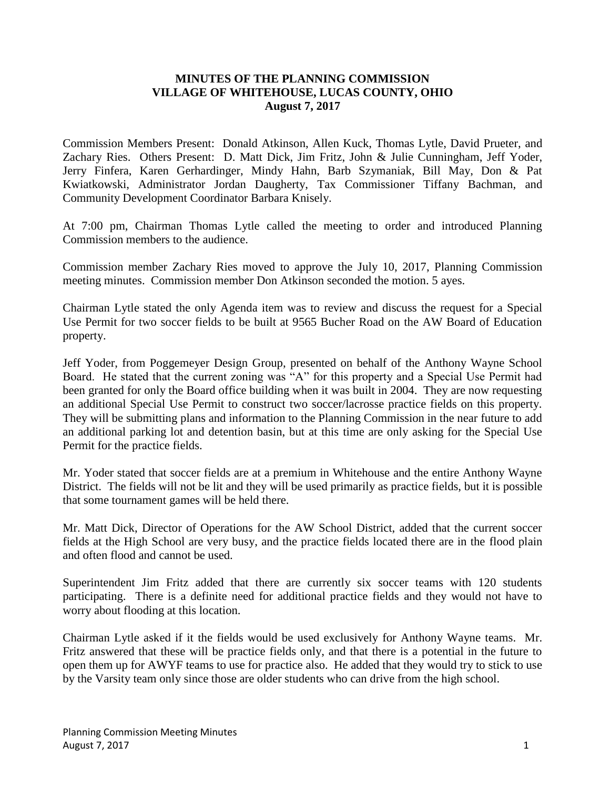## **MINUTES OF THE PLANNING COMMISSION VILLAGE OF WHITEHOUSE, LUCAS COUNTY, OHIO August 7, 2017**

Commission Members Present: Donald Atkinson, Allen Kuck, Thomas Lytle, David Prueter, and Zachary Ries. Others Present: D. Matt Dick, Jim Fritz, John & Julie Cunningham, Jeff Yoder, Jerry Finfera, Karen Gerhardinger, Mindy Hahn, Barb Szymaniak, Bill May, Don & Pat Kwiatkowski, Administrator Jordan Daugherty, Tax Commissioner Tiffany Bachman, and Community Development Coordinator Barbara Knisely.

At 7:00 pm, Chairman Thomas Lytle called the meeting to order and introduced Planning Commission members to the audience.

Commission member Zachary Ries moved to approve the July 10, 2017, Planning Commission meeting minutes. Commission member Don Atkinson seconded the motion. 5 ayes.

Chairman Lytle stated the only Agenda item was to review and discuss the request for a Special Use Permit for two soccer fields to be built at 9565 Bucher Road on the AW Board of Education property.

Jeff Yoder, from Poggemeyer Design Group, presented on behalf of the Anthony Wayne School Board. He stated that the current zoning was "A" for this property and a Special Use Permit had been granted for only the Board office building when it was built in 2004. They are now requesting an additional Special Use Permit to construct two soccer/lacrosse practice fields on this property. They will be submitting plans and information to the Planning Commission in the near future to add an additional parking lot and detention basin, but at this time are only asking for the Special Use Permit for the practice fields.

Mr. Yoder stated that soccer fields are at a premium in Whitehouse and the entire Anthony Wayne District. The fields will not be lit and they will be used primarily as practice fields, but it is possible that some tournament games will be held there.

Mr. Matt Dick, Director of Operations for the AW School District, added that the current soccer fields at the High School are very busy, and the practice fields located there are in the flood plain and often flood and cannot be used.

Superintendent Jim Fritz added that there are currently six soccer teams with 120 students participating. There is a definite need for additional practice fields and they would not have to worry about flooding at this location.

Chairman Lytle asked if it the fields would be used exclusively for Anthony Wayne teams. Mr. Fritz answered that these will be practice fields only, and that there is a potential in the future to open them up for AWYF teams to use for practice also. He added that they would try to stick to use by the Varsity team only since those are older students who can drive from the high school.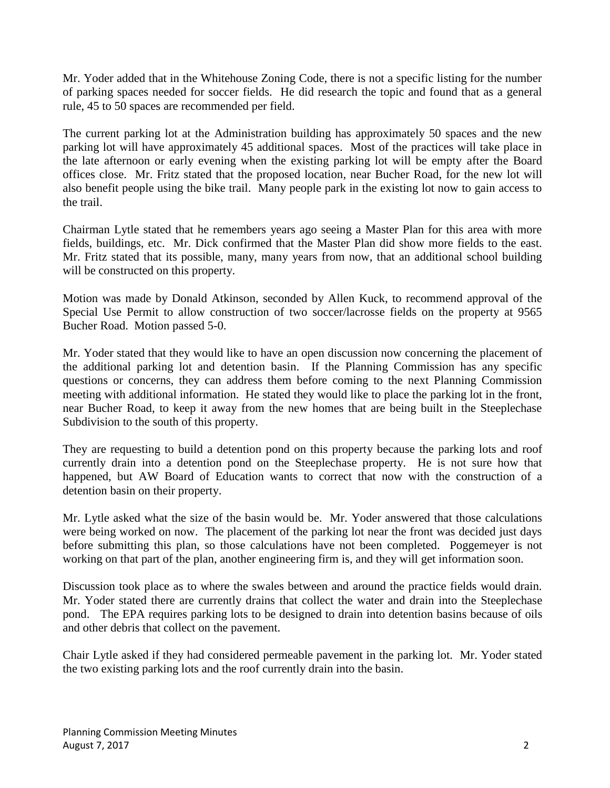Mr. Yoder added that in the Whitehouse Zoning Code, there is not a specific listing for the number of parking spaces needed for soccer fields. He did research the topic and found that as a general rule, 45 to 50 spaces are recommended per field.

The current parking lot at the Administration building has approximately 50 spaces and the new parking lot will have approximately 45 additional spaces. Most of the practices will take place in the late afternoon or early evening when the existing parking lot will be empty after the Board offices close. Mr. Fritz stated that the proposed location, near Bucher Road, for the new lot will also benefit people using the bike trail. Many people park in the existing lot now to gain access to the trail.

Chairman Lytle stated that he remembers years ago seeing a Master Plan for this area with more fields, buildings, etc. Mr. Dick confirmed that the Master Plan did show more fields to the east. Mr. Fritz stated that its possible, many, many years from now, that an additional school building will be constructed on this property.

Motion was made by Donald Atkinson, seconded by Allen Kuck, to recommend approval of the Special Use Permit to allow construction of two soccer/lacrosse fields on the property at 9565 Bucher Road. Motion passed 5-0.

Mr. Yoder stated that they would like to have an open discussion now concerning the placement of the additional parking lot and detention basin. If the Planning Commission has any specific questions or concerns, they can address them before coming to the next Planning Commission meeting with additional information. He stated they would like to place the parking lot in the front, near Bucher Road, to keep it away from the new homes that are being built in the Steeplechase Subdivision to the south of this property.

They are requesting to build a detention pond on this property because the parking lots and roof currently drain into a detention pond on the Steeplechase property. He is not sure how that happened, but AW Board of Education wants to correct that now with the construction of a detention basin on their property.

Mr. Lytle asked what the size of the basin would be. Mr. Yoder answered that those calculations were being worked on now. The placement of the parking lot near the front was decided just days before submitting this plan, so those calculations have not been completed. Poggemeyer is not working on that part of the plan, another engineering firm is, and they will get information soon.

Discussion took place as to where the swales between and around the practice fields would drain. Mr. Yoder stated there are currently drains that collect the water and drain into the Steeplechase pond. The EPA requires parking lots to be designed to drain into detention basins because of oils and other debris that collect on the pavement.

Chair Lytle asked if they had considered permeable pavement in the parking lot. Mr. Yoder stated the two existing parking lots and the roof currently drain into the basin.